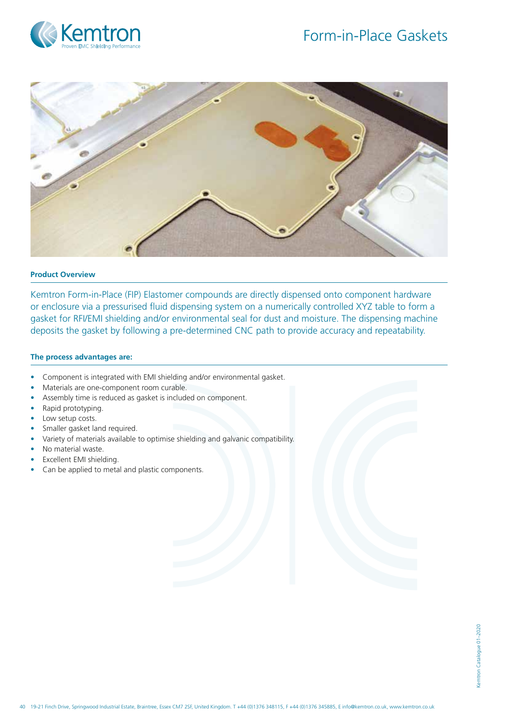



### **Product Overview**

Kemtron Form-in-Place (FIP) Elastomer compounds are directly dispensed onto component hardware or enclosure via a pressurised fluid dispensing system on a numerically controlled XYZ table to form a gasket for RFI/EMI shielding and/or environmental seal for dust and moisture. The dispensing machine deposits the gasket by following a pre-determined CNC path to provide accuracy and repeatability.

### **The process advantages are:**

- Component is integrated with EMI shielding and/or environmental gasket.
- Materials are one-component room curable.
- Assembly time is reduced as gasket is included on component.
- Rapid prototyping.
- Low setup costs.
- Smaller gasket land required.
- Variety of materials available to optimise shielding and galvanic compatibility.
- No material waste.
- Excellent EMI shielding.
- Can be applied to metal and plastic components.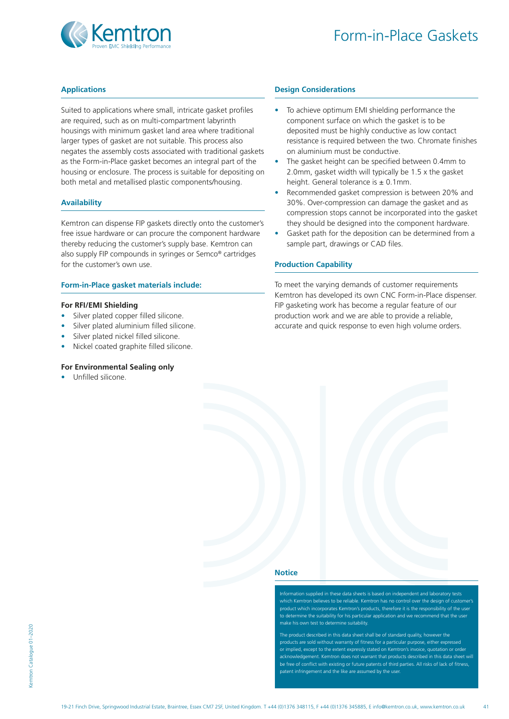

## **Applications**

Suited to applications where small, intricate gasket profiles are required, such as on multi-compartment labyrinth housings with minimum gasket land area where traditional larger types of gasket are not suitable. This process also negates the assembly costs associated with traditional gaskets as the Form-in-Place gasket becomes an integral part of the housing or enclosure. The process is suitable for depositing on both metal and metallised plastic components/housing.

### **Availability**

Kemtron can dispense FIP gaskets directly onto the customer's free issue hardware or can procure the component hardware thereby reducing the customer's supply base. Kemtron can also supply FIP compounds in syringes or Semco® cartridges for the customer's own use.

#### **Form-in-Place gasket materials include:**

#### **For RFI/EMI Shielding**

- Silver plated copper filled silicone.
- Silver plated aluminium filled silicone.
- Silver plated nickel filled silicone.
- Nickel coated graphite filled silicone.

# **For Environmental Sealing only**

• Unfilled silicone.

#### **Design Considerations**

- To achieve optimum EMI shielding performance the component surface on which the gasket is to be deposited must be highly conductive as low contact resistance is required between the two. Chromate finishes on aluminium must be conductive.
- The gasket height can be specified between 0.4mm to 2.0mm, gasket width will typically be 1.5 x the gasket height. General tolerance is  $\pm$  0.1mm.
- Recommended gasket compression is between 20% and 30%. Over-compression can damage the gasket and as compression stops cannot be incorporated into the gasket they should be designed into the component hardware.
- Gasket path for the deposition can be determined from a sample part, drawings or CAD files.

#### **Production Capability**

To meet the varying demands of customer requirements Kemtron has developed its own CNC Form-in-Place dispenser. FIP gasketing work has become a regular feature of our production work and we are able to provide a reliable, accurate and quick response to even high volume orders.

### **Notice**

Ion supplied in these data sheets is based on independent and laborator which Kemtron believes to be reliable. Kemtron has no control over the design of customer's product which incorporates Kemtron's products, therefore it is the responsib to determine the suitability for his particular application and we recommend that the user make his own test to determine suitability.

The product described in this data sheet shall be of standard quality, however the products are sold without warranty of fitness for a particular purpose, either expressed or implied, except to the extent expressly stated on Kemtron's invoice, quotation or order acknowledgement. Kemtron does not warrant that products described in this data sheet will be free of conflict with existing or future patents of third parties. All risks of lack of fitness patent infringement and the like are assumed by the user.